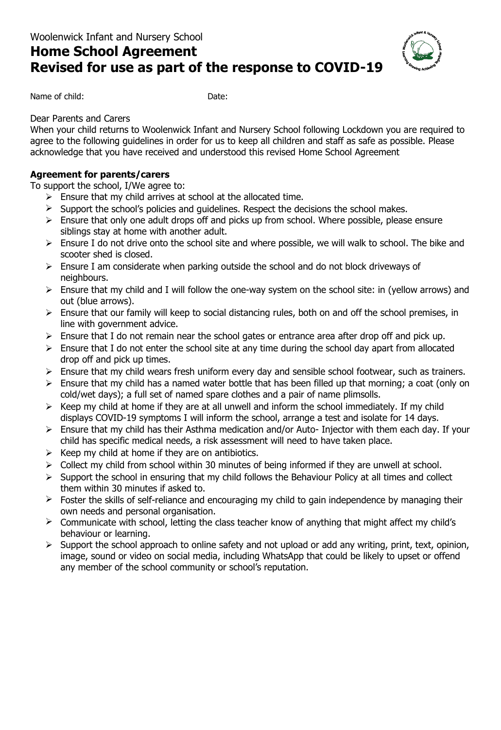# **Home School Agreement Revised for use as part of the response to COVID-19**



Name of child: Date:

## Dear Parents and Carers

When your child returns to Woolenwick Infant and Nursery School following Lockdown you are required to agree to the following guidelines in order for us to keep all children and staff as safe as possible. Please acknowledge that you have received and understood this revised Home School Agreement

## **Agreement for parents/carers**

To support the school, I/We agree to:

- $\triangleright$  Ensure that my child arrives at school at the allocated time.
- $\triangleright$  Support the school's policies and quidelines. Respect the decisions the school makes.
- $\triangleright$  Ensure that only one adult drops off and picks up from school. Where possible, please ensure siblings stay at home with another adult.
- $\triangleright$  Ensure I do not drive onto the school site and where possible, we will walk to school. The bike and scooter shed is closed.
- $\triangleright$  Ensure I am considerate when parking outside the school and do not block driveways of neighbours.
- $\triangleright$  Ensure that my child and I will follow the one-way system on the school site: in (yellow arrows) and out (blue arrows).
- $\triangleright$  Ensure that our family will keep to social distancing rules, both on and off the school premises, in line with government advice.
- $\triangleright$  Ensure that I do not remain near the school gates or entrance area after drop off and pick up.
- $\triangleright$  Ensure that I do not enter the school site at any time during the school day apart from allocated drop off and pick up times.
- $\triangleright$  Ensure that my child wears fresh uniform every day and sensible school footwear, such as trainers.
- $\triangleright$  Ensure that my child has a named water bottle that has been filled up that morning; a coat (only on cold/wet days); a full set of named spare clothes and a pair of name plimsolls.
- $\triangleright$  Keep my child at home if they are at all unwell and inform the school immediately. If my child displays COVID-19 symptoms I will inform the school, arrange a test and isolate for 14 days.
- $\triangleright$  Ensure that my child has their Asthma medication and/or Auto- Injector with them each day. If your child has specific medical needs, a risk assessment will need to have taken place.
- $\triangleright$  Keep my child at home if they are on antibiotics.
- $\triangleright$  Collect my child from school within 30 minutes of being informed if they are unwell at school.
- $\triangleright$  Support the school in ensuring that my child follows the Behaviour Policy at all times and collect them within 30 minutes if asked to.
- $\triangleright$  Foster the skills of self-reliance and encouraging my child to gain independence by managing their own needs and personal organisation.
- $\triangleright$  Communicate with school, letting the class teacher know of anything that might affect my child's behaviour or learning.
- $\triangleright$  Support the school approach to online safety and not upload or add any writing, print, text, opinion, image, sound or video on social media, including WhatsApp that could be likely to upset or offend any member of the school community or school's reputation.